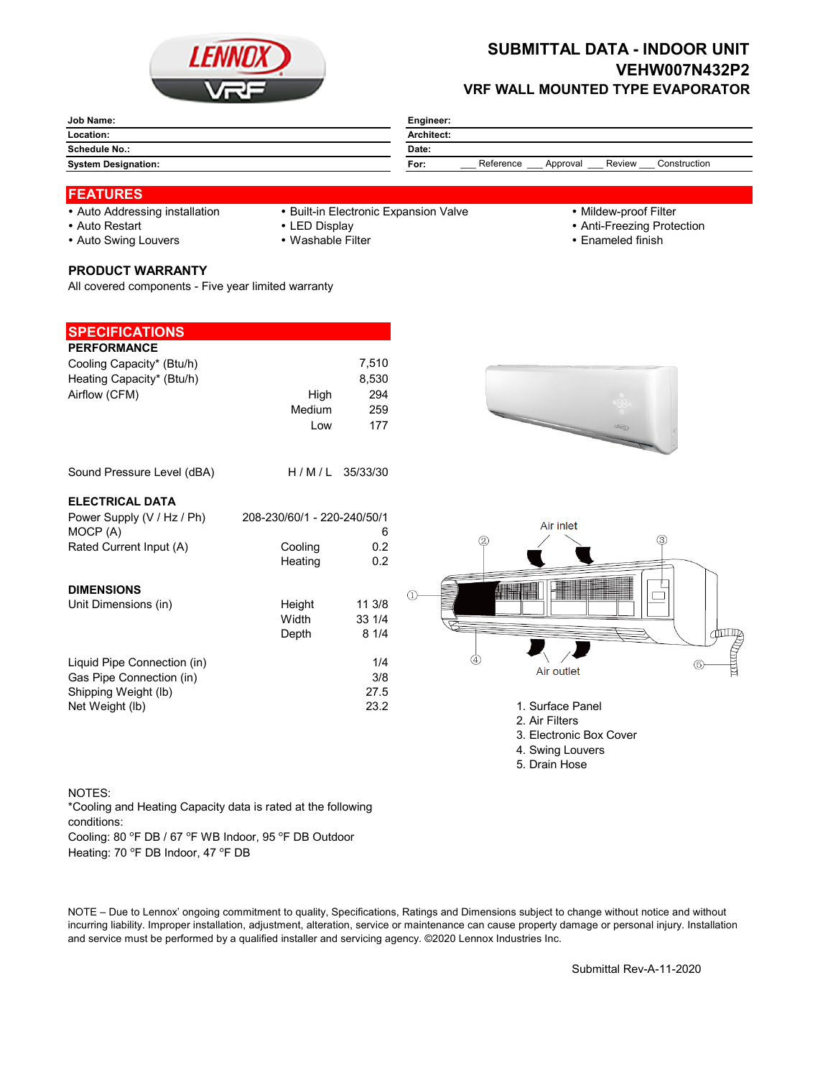

## **SUBMITTAL DATA - INDOOR UNIT VEHW007N432P2 VRF WALL MOUNTED TYPE EVAPORATOR**

| Location:                  |                                                         |
|----------------------------|---------------------------------------------------------|
|                            | <b>Architect:</b>                                       |
| <b>Schedule No.:</b>       | Date:                                                   |
| <b>System Designation:</b> | Reference<br>Review<br>Construction<br>For:<br>Approval |

### **FEATURES**

- 
- Auto Addressing installation Built-in Electronic Expansion Valve Mildew-proof Filter
- 

- 
- Auto Restart **Auto Restart LED Display CED EXECUTE: 1999 Anti-Freezing Protection**
- Auto Swing Louvers Washable Filter **Enameled finish** Enameled finish

#### **PRODUCT WARRANTY**

All covered components - Five year limited warranty

| <b>SPECIFICATIONS</b>       |                             |              |                                                                                                                                                                                                                                |
|-----------------------------|-----------------------------|--------------|--------------------------------------------------------------------------------------------------------------------------------------------------------------------------------------------------------------------------------|
| <b>PERFORMANCE</b>          |                             |              |                                                                                                                                                                                                                                |
| Cooling Capacity* (Btu/h)   |                             | 7,510        |                                                                                                                                                                                                                                |
| Heating Capacity* (Btu/h)   |                             | 8,530        |                                                                                                                                                                                                                                |
| Airflow (CFM)               | High                        | 294          |                                                                                                                                                                                                                                |
|                             | Medium                      | 259          |                                                                                                                                                                                                                                |
|                             | Low                         | 177          | <b>Hagit</b>                                                                                                                                                                                                                   |
| Sound Pressure Level (dBA)  | H/M/L                       | 35/33/30     |                                                                                                                                                                                                                                |
| <b>ELECTRICAL DATA</b>      |                             |              |                                                                                                                                                                                                                                |
| Power Supply (V / Hz / Ph)  | 208-230/60/1 - 220-240/50/1 |              |                                                                                                                                                                                                                                |
| MOCP (A)                    |                             | 6            | Air inlet<br>3<br>$\circled{2}$                                                                                                                                                                                                |
| Rated Current Input (A)     | Cooling                     | 0.2          |                                                                                                                                                                                                                                |
|                             | Heating                     | 0.2          |                                                                                                                                                                                                                                |
| <b>DIMENSIONS</b>           |                             |              |                                                                                                                                                                                                                                |
| Unit Dimensions (in)        | Height                      | 11 3/8       | $\left(1\right)$                                                                                                                                                                                                               |
|                             | Width                       | 33 1/4       |                                                                                                                                                                                                                                |
|                             | Depth                       | 81/4         |                                                                                                                                                                                                                                |
|                             |                             |              | the second control of the second control in the second control in the second control in the second control in the second control in the second control in the second control in the second control in the second control in th |
| Liquid Pipe Connection (in) |                             | 1/4          | Air outlet                                                                                                                                                                                                                     |
| Gas Pipe Connection (in)    |                             | 3/8          |                                                                                                                                                                                                                                |
| Shipping Weight (lb)        |                             | 27.5<br>23.2 | 1. Surface Panel                                                                                                                                                                                                               |
| Net Weight (lb)             |                             |              | 2. Air Filters                                                                                                                                                                                                                 |
|                             |                             |              | 3. Electronic Box Cover                                                                                                                                                                                                        |
|                             |                             |              | 4. Swing Louvers                                                                                                                                                                                                               |
|                             |                             |              | 5. Drain Hose                                                                                                                                                                                                                  |

#### NOTES:

Cooling: 80 °F DB / 67 °F WB Indoor, 95 °F DB Outdoor \*Cooling and Heating Capacity data is rated at the following conditions:

Heating: 70 °F DB Indoor, 47 °F DB

NOTE – Due to Lennox' ongoing commitment to quality, Specifications, Ratings and Dimensions subject to change without notice and without incurring liability. Improper installation, adjustment, alteration, service or maintenance can cause property damage or personal injury. Installation and service must be performed by a qualified installer and servicing agency. ©2020 Lennox Industries Inc.

Submittal Rev-A-11-2020